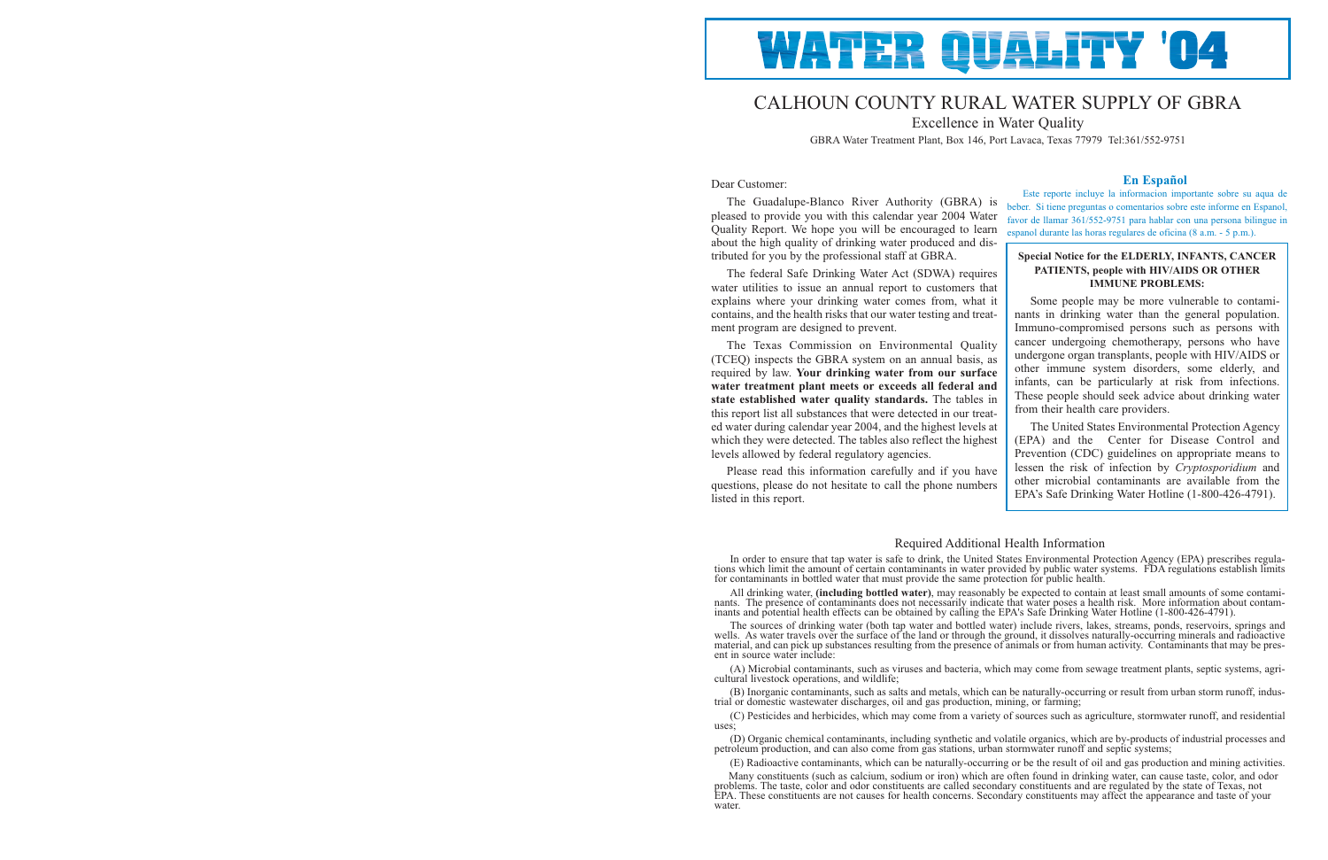

# CALHOUN COUNTY RURAL WATER SUPPLY OF GBRA

Excellence in Water Quality

GBRA Water Treatment Plant, Box 146, Port Lavaca, Texas 77979 Tel:361/552-9751

## Dear Customer:

The Guadalupe-Blanco River Authority (GBRA) is pleased to provide you with this calendar year 2004 Water Quality Report. We hope you will be encouraged to learn about the high quality of drinking water produced and distributed for you by the professional staff at GBRA.

The federal Safe Drinking Water Act (SDWA) requires water utilities to issue an annual report to customers that explains where your drinking water comes from, what it contains, and the health risks that our water testing and treatment program are designed to prevent.

The Texas Commission on Environmental Quality (TCEQ) inspects the GBRA system on an annual basis, as required by law. **Your drinking water from our surface water treatment plant meets or exceeds all federal and state established water quality standards.** The tables in this report list all substances that were detected in our treated water during calendar year 2004, and the highest levels at which they were detected. The tables also reflect the highest levels allowed by federal regulatory agencies.

Please read this information carefully and if you have questions, please do not hesitate to call the phone numbers listed in this report.

## **En Español**

Este reporte incluye la informacion importante sobre su aqua de beber. Si tiene preguntas o comentarios sobre este informe en Espanol, favor de llamar 361/552-9751 para hablar con una persona bilingue in espanol durante las horas regulares de oficina (8 a.m. - 5 p.m.).

# Required Additional Health Information

In order to ensure that tap water is safe to drink, the United States Environmental Protection Agency (EPA) prescribes regulations which limit the amount of certain contaminants in water provided by public water systems. F

All drinking water, (including bottled water), may reasonably be expected to contain at least small amounts of some contaminants. The presence of contaminants does not necessarily indicate that water poses a health risk. M

The sources of drinking water (both tap water and bottled water) include rivers, lakes, streams, ponds, reservoirs, springs and wells. As water travels over the surface of the land or through the ground, it dissolves natur

(E) Radioactive contaminants, which can be naturally-occurring or be the result of oil and gas production and mining activities. Many constituents (such as calcium, sodium or iron) which are often found in drinking water, can cause taste, color, and odor<br>problems. The taste, color and odor constituents are called secondary constituents and are regul water

(A) Microbial contaminants, such as viruses and bacteria, which may come from sewage treatment plants, septic systems, agri- cultural livestock operations, and wildlife;

(B) Inorganic contaminants, such as salts and metals, which can be naturally-occurring or result from urban storm runoff, indus- trial or domestic wastewater discharges, oil and gas production, mining, or farming;

(C) Pesticides and herbicides, which may come from a variety of sources such as agriculture, stormwater runoff, and residential uses;

(D) Organic chemical contaminants, including synthetic and volatile organics, which are by-products of industrial processes and petroleum production, and can also come from gas stations, urban stormwater runoff and septic systems;

## **Special Notice for the ELDERLY, INFANTS, CANCER PATIENTS, people with HIV/AIDS OR OTHER IMMUNE PROBLEMS:**

Some people may be more vulnerable to contaminants in drinking water than the general population. Immuno-compromised persons such as persons with cancer undergoing chemotherapy, persons who have undergone organ transplants, people with HIV/AIDS or other immune system disorders, some elderly, and infants, can be particularly at risk from infections. These people should seek advice about drinking water from their health care providers.

The United States Environmental Protection Agency (EPA) and the Center for Disease Control and Prevention (CDC) guidelines on appropriate means to lessen the risk of infection by *Cryptosporidium* and other microbial contaminants are available from the EPA's Safe Drinking Water Hotline (1-800-426-4791).